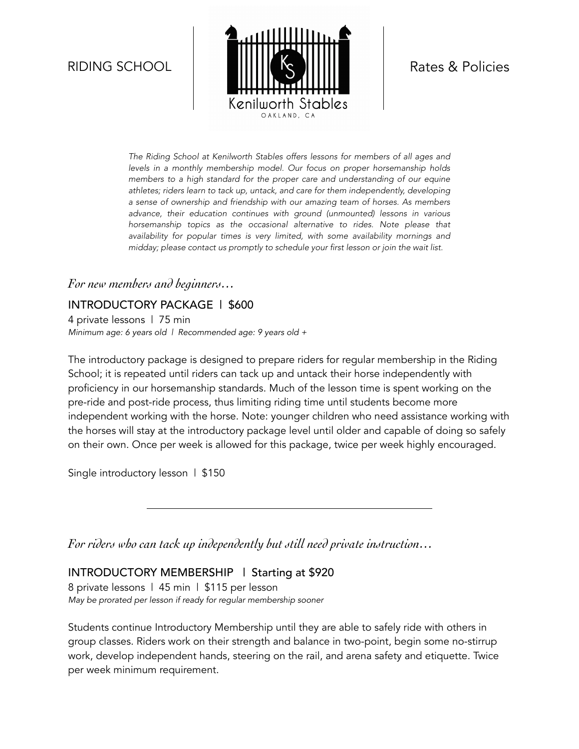

*The Riding School at Kenilworth Stables offers lessons for members of all ages and levels in a monthly membership model. Our focus on proper horsemanship holds members to a high standard for the proper care and understanding of our equine athletes; riders learn to tack up, untack, and care for them independently, developing a sense of ownership and friendship with our amazing team of horses. As members advance, their education continues with ground (unmounted) lessons in various*  horsemanship topics as the occasional alternative to rides. Note please that *availability for popular times is very limited, with some availability mornings and midday; please contact us promptly to schedule your first lesson or join the wait list.* 

#### *For new members and beginners…*

INTRODUCTORY PACKAGE | \$600 4 private lessons | 75 min *Minimum age: 6 years old | Recommended age: 9 years old +* 

The introductory package is designed to prepare riders for regular membership in the Riding School; it is repeated until riders can tack up and untack their horse independently with proficiency in our horsemanship standards. Much of the lesson time is spent working on the pre-ride and post-ride process, thus limiting riding time until students become more independent working with the horse. Note: younger children who need assistance working with the horses will stay at the introductory package level until older and capable of doing so safely on their own. Once per week is allowed for this package, twice per week highly encouraged.

Single introductory lesson | \$150

*For riders who can tack up independently but still need private instruction…*

#### INTRODUCTORY MEMBERSHIP | Starting at \$920

8 private lessons | 45 min | \$115 per lesson *May be prorated per lesson if ready for regular membership sooner* 

Students continue Introductory Membership until they are able to safely ride with others in group classes. Riders work on their strength and balance in two-point, begin some no-stirrup work, develop independent hands, steering on the rail, and arena safety and etiquette. Twice per week minimum requirement.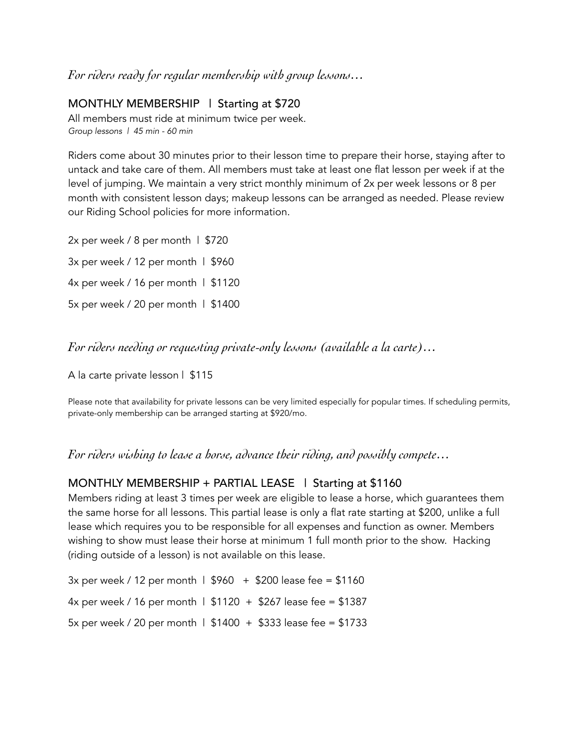#### *For riders ready for regular membership with group lessons…*

#### MONTHLY MEMBERSHIP | Starting at \$720

All members must ride at minimum twice per week. *Group lessons | 45 min - 60 min* 

Riders come about 30 minutes prior to their lesson time to prepare their horse, staying after to untack and take care of them. All members must take at least one flat lesson per week if at the level of jumping. We maintain a very strict monthly minimum of 2x per week lessons or 8 per month with consistent lesson days; makeup lessons can be arranged as needed. Please review our Riding School policies for more information.

2x per week / 8 per month | \$720  $3x$  per week / 12 per month | \$960 4x per week / 16 per month | \$1120 5x per week / 20 per month | \$1400

*For riders needing or requesting private-only lessons (available a la carte)…*

A la carte private lesson | \$115

Please note that availability for private lessons can be very limited especially for popular times. If scheduling permits, private-only membership can be arranged starting at \$920/mo.

*For riders wishing to lease a horse, advance their riding, and possibly compete…*

#### MONTHLY MEMBERSHIP + PARTIAL LEASE | Starting at \$1160

Members riding at least 3 times per week are eligible to lease a horse, which guarantees them the same horse for all lessons. This partial lease is only a flat rate starting at \$200, unlike a full lease which requires you to be responsible for all expenses and function as owner. Members wishing to show must lease their horse at minimum 1 full month prior to the show. Hacking (riding outside of a lesson) is not available on this lease.

 $3x$  per week / 12 per month |  $$960 + $200$  lease fee = \$1160 4x per week / 16 per month |  $$1120 + $267$  lease fee = \$1387 5x per week / 20 per month | \$1400 + \$333 lease fee = \$1733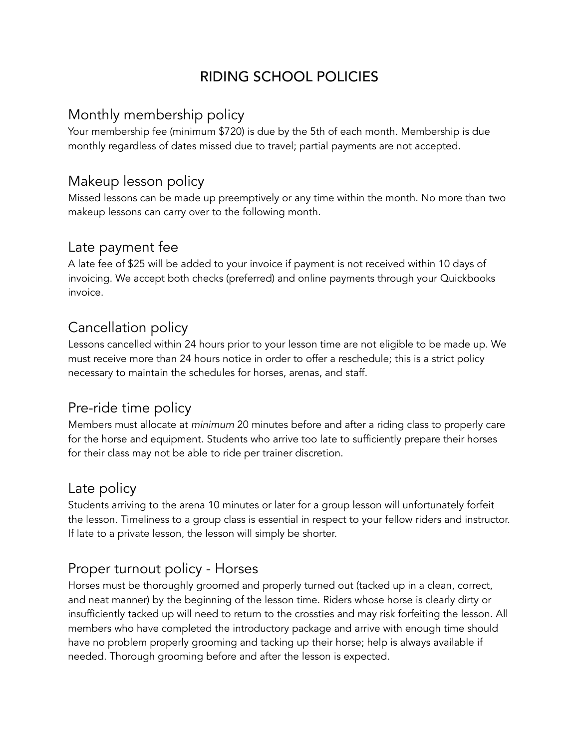# RIDING SCHOOL POLICIES

#### Monthly membership policy

Your membership fee (minimum \$720) is due by the 5th of each month. Membership is due monthly regardless of dates missed due to travel; partial payments are not accepted.

## Makeup lesson policy

Missed lessons can be made up preemptively or any time within the month. No more than two makeup lessons can carry over to the following month.

#### Late payment fee

A late fee of \$25 will be added to your invoice if payment is not received within 10 days of invoicing. We accept both checks (preferred) and online payments through your Quickbooks invoice.

### Cancellation policy

Lessons cancelled within 24 hours prior to your lesson time are not eligible to be made up. We must receive more than 24 hours notice in order to offer a reschedule; this is a strict policy necessary to maintain the schedules for horses, arenas, and staff.

#### Pre-ride time policy

Members must allocate at *minimum* 20 minutes before and after a riding class to properly care for the horse and equipment. Students who arrive too late to sufficiently prepare their horses for their class may not be able to ride per trainer discretion.

#### Late policy

Students arriving to the arena 10 minutes or later for a group lesson will unfortunately forfeit the lesson. Timeliness to a group class is essential in respect to your fellow riders and instructor. If late to a private lesson, the lesson will simply be shorter.

## Proper turnout policy - Horses

Horses must be thoroughly groomed and properly turned out (tacked up in a clean, correct, and neat manner) by the beginning of the lesson time. Riders whose horse is clearly dirty or insufficiently tacked up will need to return to the crossties and may risk forfeiting the lesson. All members who have completed the introductory package and arrive with enough time should have no problem properly grooming and tacking up their horse; help is always available if needed. Thorough grooming before and after the lesson is expected.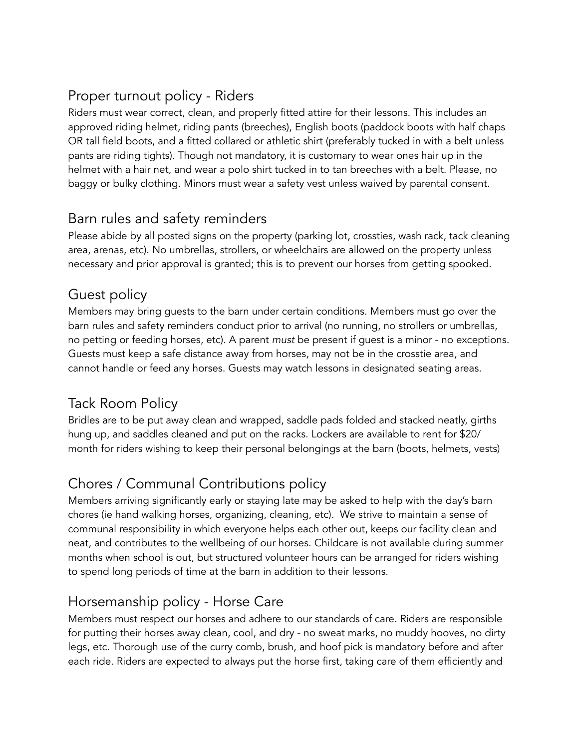# Proper turnout policy - Riders

Riders must wear correct, clean, and properly fitted attire for their lessons. This includes an approved riding helmet, riding pants (breeches), English boots (paddock boots with half chaps OR tall field boots, and a fitted collared or athletic shirt (preferably tucked in with a belt unless pants are riding tights). Though not mandatory, it is customary to wear ones hair up in the helmet with a hair net, and wear a polo shirt tucked in to tan breeches with a belt. Please, no baggy or bulky clothing. Minors must wear a safety vest unless waived by parental consent.

#### Barn rules and safety reminders

Please abide by all posted signs on the property (parking lot, crossties, wash rack, tack cleaning area, arenas, etc). No umbrellas, strollers, or wheelchairs are allowed on the property unless necessary and prior approval is granted; this is to prevent our horses from getting spooked.

### Guest policy

Members may bring guests to the barn under certain conditions. Members must go over the barn rules and safety reminders conduct prior to arrival (no running, no strollers or umbrellas, no petting or feeding horses, etc). A parent *must* be present if guest is a minor - no exceptions. Guests must keep a safe distance away from horses, may not be in the crosstie area, and cannot handle or feed any horses. Guests may watch lessons in designated seating areas.

## Tack Room Policy

Bridles are to be put away clean and wrapped, saddle pads folded and stacked neatly, girths hung up, and saddles cleaned and put on the racks. Lockers are available to rent for \$20/ month for riders wishing to keep their personal belongings at the barn (boots, helmets, vests)

# Chores / Communal Contributions policy

Members arriving significantly early or staying late may be asked to help with the day's barn chores (ie hand walking horses, organizing, cleaning, etc). We strive to maintain a sense of communal responsibility in which everyone helps each other out, keeps our facility clean and neat, and contributes to the wellbeing of our horses. Childcare is not available during summer months when school is out, but structured volunteer hours can be arranged for riders wishing to spend long periods of time at the barn in addition to their lessons.

# Horsemanship policy - Horse Care

Members must respect our horses and adhere to our standards of care. Riders are responsible for putting their horses away clean, cool, and dry - no sweat marks, no muddy hooves, no dirty legs, etc. Thorough use of the curry comb, brush, and hoof pick is mandatory before and after each ride. Riders are expected to always put the horse first, taking care of them efficiently and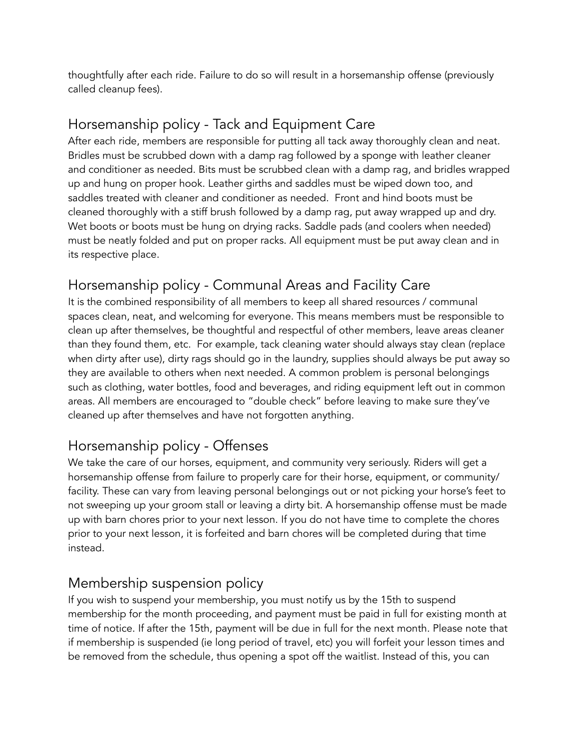thoughtfully after each ride. Failure to do so will result in a horsemanship offense (previously called cleanup fees).

## Horsemanship policy - Tack and Equipment Care

After each ride, members are responsible for putting all tack away thoroughly clean and neat. Bridles must be scrubbed down with a damp rag followed by a sponge with leather cleaner and conditioner as needed. Bits must be scrubbed clean with a damp rag, and bridles wrapped up and hung on proper hook. Leather girths and saddles must be wiped down too, and saddles treated with cleaner and conditioner as needed. Front and hind boots must be cleaned thoroughly with a stiff brush followed by a damp rag, put away wrapped up and dry. Wet boots or boots must be hung on drying racks. Saddle pads (and coolers when needed) must be neatly folded and put on proper racks. All equipment must be put away clean and in its respective place.

# Horsemanship policy - Communal Areas and Facility Care

It is the combined responsibility of all members to keep all shared resources / communal spaces clean, neat, and welcoming for everyone. This means members must be responsible to clean up after themselves, be thoughtful and respectful of other members, leave areas cleaner than they found them, etc. For example, tack cleaning water should always stay clean (replace when dirty after use), dirty rags should go in the laundry, supplies should always be put away so they are available to others when next needed. A common problem is personal belongings such as clothing, water bottles, food and beverages, and riding equipment left out in common areas. All members are encouraged to "double check" before leaving to make sure they've cleaned up after themselves and have not forgotten anything.

# Horsemanship policy - Offenses

We take the care of our horses, equipment, and community very seriously. Riders will get a horsemanship offense from failure to properly care for their horse, equipment, or community/ facility. These can vary from leaving personal belongings out or not picking your horse's feet to not sweeping up your groom stall or leaving a dirty bit. A horsemanship offense must be made up with barn chores prior to your next lesson. If you do not have time to complete the chores prior to your next lesson, it is forfeited and barn chores will be completed during that time instead.

## Membership suspension policy

If you wish to suspend your membership, you must notify us by the 15th to suspend membership for the month proceeding, and payment must be paid in full for existing month at time of notice. If after the 15th, payment will be due in full for the next month. Please note that if membership is suspended (ie long period of travel, etc) you will forfeit your lesson times and be removed from the schedule, thus opening a spot off the waitlist. Instead of this, you can